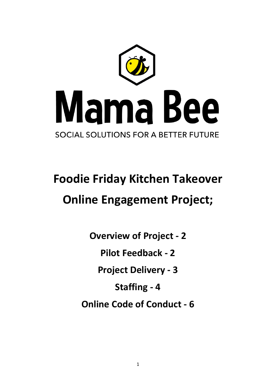

# **Foodie Friday Kitchen Takeover Online Engagement Project;**

**Overview of Project - 2 Pilot Feedback - 2 Project Delivery - 3 Staffing - 4 Online Code of Conduct - 6**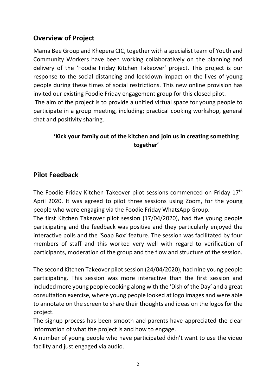### **Overview of Project**

Mama Bee Group and Khepera CIC, together with a specialist team of Youth and Community Workers have been working collaboratively on the planning and delivery of the 'Foodie Friday Kitchen Takeover' project. This project is our response to the social distancing and lockdown impact on the lives of young people during these times of social restrictions. This new online provision has invited our existing Foodie Friday engagement group for this closed pilot.

The aim of the project is to provide a unified virtual space for young people to participate in a group meeting, including; practical cooking workshop, general chat and positivity sharing.

#### **'Kick your family out of the kitchen and join us in creating something together'**

#### **Pilot Feedback**

The Foodie Friday Kitchen Takeover pilot sessions commenced on Friday 17<sup>th</sup> April 2020. It was agreed to pilot three sessions using Zoom, for the young people who were engaging via the Foodie Friday WhatsApp Group.

The first Kitchen Takeover pilot session (17/04/2020), had five young people participating and the feedback was positive and they particularly enjoyed the interactive polls and the 'Soap Box' feature. The session was facilitated by four members of staff and this worked very well with regard to verification of participants, moderation of the group and the flow and structure of the session.

The second Kitchen Takeover pilot session (24/04/2020), had nine young people participating. This session was more interactive than the first session and included more young people cooking along with the 'Dish of the Day' and a great consultation exercise, where young people looked at logo images and were able to annotate on the screen to share their thoughts and ideas on the logos for the project.

The signup process has been smooth and parents have appreciated the clear information of what the project is and how to engage.

A number of young people who have participated didn't want to use the video facility and just engaged via audio.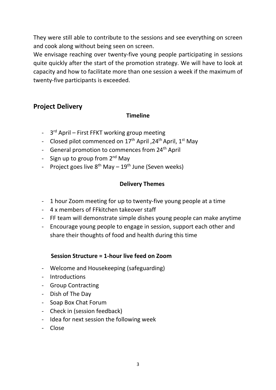They were still able to contribute to the sessions and see everything on screen and cook along without being seen on screen.

We envisage reaching over twenty-five young people participating in sessions quite quickly after the start of the promotion strategy. We will have to look at capacity and how to facilitate more than one session a week if the maximum of twenty-five participants is exceeded.

### **Project Delivery**

#### **Timeline**

- 3<sup>rd</sup> April First FFKT working group meeting
- Closed pilot commenced on  $17<sup>th</sup>$  April,  $24<sup>th</sup>$  April,  $1<sup>st</sup>$  May
- General promotion to commences from 24<sup>th</sup> April
- Sign up to group from 2<sup>nd</sup> May
- Project goes live  $8^{th}$  May  $19^{th}$  June (Seven weeks)

#### **Delivery Themes**

- 1 hour Zoom meeting for up to twenty-five young people at a time
- 4 x members of FFkitchen takeover staff
- FF team will demonstrate simple dishes young people can make anytime
- Encourage young people to engage in session, support each other and share their thoughts of food and health during this time

#### **Session Structure = 1-hour live feed on Zoom**

- Welcome and Housekeeping (safeguarding)
- Introductions
- Group Contracting
- Dish of The Day
- Soap Box Chat Forum
- Check in (session feedback)
- Idea for next session the following week
- Close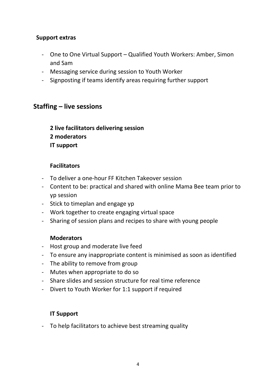#### **Support extras**

- One to One Virtual Support Qualified Youth Workers: Amber, Simon and Sam
- Messaging service during session to Youth Worker
- Signposting if teams identify areas requiring further support

#### **Staffing – live sessions**

**2 live facilitators delivering session 2 moderators IT support** 

#### **Facilitators**

- To deliver a one-hour FF Kitchen Takeover session
- Content to be: practical and shared with online Mama Bee team prior to yp session
- Stick to timeplan and engage yp
- Work together to create engaging virtual space
- Sharing of session plans and recipes to share with young people

#### **Moderators**

- Host group and moderate live feed
- To ensure any inappropriate content is minimised as soon as identified
- The ability to remove from group
- Mutes when appropriate to do so
- Share slides and session structure for real time reference
- Divert to Youth Worker for 1:1 support if required

#### **IT Support**

- To help facilitators to achieve best streaming quality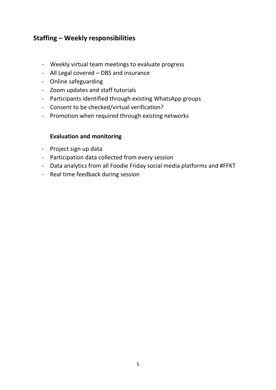### **Staffing – Weekly responsibilities**

- Weekly virtual team meetings to evaluate progress
- All Legal covered DBS and insurance
- Online safeguarding
- Zoom updates and staff tutorials
- Participants identified through existing WhatsApp groups
- Consent to be checked/virtual verification?
- Promotion when required through existing networks

#### **Evaluation and monitoring**

- Project sign up data
- Participation data collected from every session
- Data analytics from all Foodie Friday social media platforms and #FFKT
- Real time feedback during session